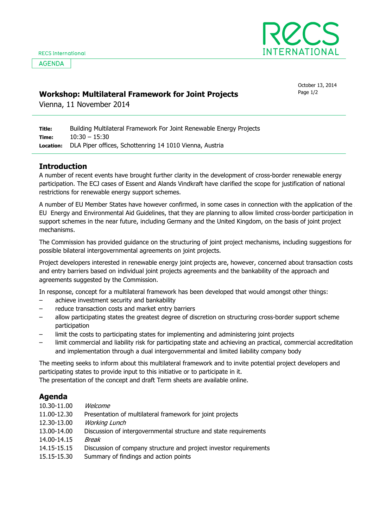**AGENDA** 



## Workshop: Multilateral Framework for Joint Projects  $P_{\text{age 1/2}}$

October 13, 2014

Vienna, 11 November 2014

Title: Time: Location: Building Multilateral Framework For Joint Renewable Energy Projects 10:30 – 15:30 DLA Piper offices, Schottenring 14 1010 Vienna, Austria

## Introduction

A number of recent events have brought further clarity in the development of cross-border renewable energy participation. The ECJ cases of Essent and Alands Vindkraft have clarified the scope for justification of national restrictions for renewable energy support schemes.

A number of EU Member States have however confirmed, in some cases in connection with the application of the 2 EU Energy and Environmental Aid Guidelines, that they are planning to allow limited cross-border participation in their support schemes in the near future, including Germany and the United Kingdom, on the basis of joint project mechanisms.

The Commission has provided guidance on the structuring of joint project mechanisms, including suggestions for possible bilateral intergovernmental agreements on joint projects.

Project developers interested in renewable energy joint projects are, however, concerned about transaction costs and entry barriers based on individual joint projects agreements and the bankability of the approach and agreements suggested by the Commission.

In response, concept for a multilateral framework has been developed that would amongst other things:

- achieve investment security and bankability
- reduce transaction costs and market entry barriers
- allow participating states the greatest degree of discretion on structuring cross-border support scheme participation
- limit the costs to participating states for implementing and administering joint projects
- limit commercial and liability risk for participating state and achieving an practical, commercial accreditation and implementation through a dual intergovernmental and limited liability company body

The meeting seeks to inform about this multilateral framework and to invite potential project developers and participating states to provide input to this initiative or to participate in it.

The presentation of the concept and draft Term sheets are available online.

## Agenda

| 10.30-11.00 | Welcome                                                           |
|-------------|-------------------------------------------------------------------|
| 11.00-12.30 | Presentation of multilateral framework for joint projects         |
| 12.30-13.00 | <b>Working Lunch</b>                                              |
| 13.00-14.00 | Discussion of intergovernmental structure and state requirements  |
| 14.00-14.15 | Break                                                             |
| 14.15-15.15 | Discussion of company structure and project investor requirements |
| 15.15-15.30 | Summary of findings and action points                             |
|             |                                                                   |